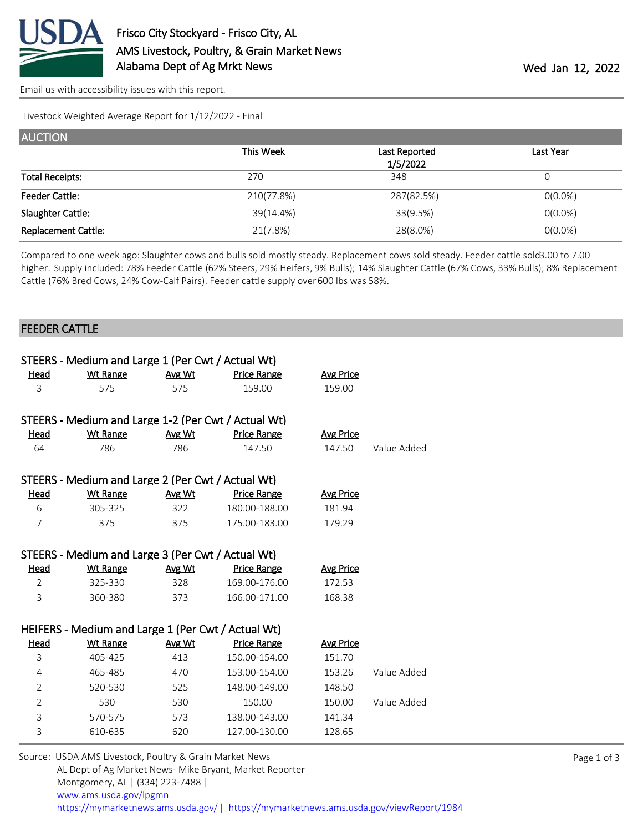

[Email us with accessibility issues with this report.](mailto:mars@ams.usda.gov?subject=508%20issue)

Livestock Weighted Average Report for 1/12/2022 - Final

| <b>AUCTION</b>             |            |               |            |
|----------------------------|------------|---------------|------------|
|                            | This Week  | Last Reported | Last Year  |
|                            |            | 1/5/2022      |            |
| <b>Total Receipts:</b>     | 270        | 348           | 0          |
| <b>Feeder Cattle:</b>      | 210(77.8%) | 287(82.5%)    | $O(0.0\%)$ |
| Slaughter Cattle:          | 39(14.4%)  | 33(9.5%)      | $O(0.0\%)$ |
| <b>Replacement Cattle:</b> | 21(7.8%)   | 28(8.0%)      | $O(0.0\%)$ |

Compared to one week ago: Slaughter cows and bulls sold mostly steady. Replacement cows sold steady. Feeder cattle sold 3.00 to 7.00 higher. Supply included: 78% Feeder Cattle (62% Steers, 29% Heifers, 9% Bulls); 14% Slaughter Cattle (67% Cows, 33% Bulls); 8% Replacement Cattle (76% Bred Cows, 24% Cow-Calf Pairs). Feeder cattle supply over 600 lbs was 58%.

## FEEDER CATTLE

|                | STEERS - Medium and Large 1 (Per Cwt / Actual Wt)   |               |                    |                  |             |
|----------------|-----------------------------------------------------|---------------|--------------------|------------------|-------------|
| Head           | <b>Wt Range</b>                                     | Avg Wt        | <b>Price Range</b> | <b>Avg Price</b> |             |
| 3              | 575                                                 | 575           | 159.00             | 159.00           |             |
|                |                                                     |               |                    |                  |             |
|                | STEERS - Medium and Large 1-2 (Per Cwt / Actual Wt) |               |                    |                  |             |
| <u>Head</u>    | <b>Wt Range</b>                                     | Avg Wt        | <b>Price Range</b> | <b>Avg Price</b> |             |
| 64             | 786                                                 | 786           | 147.50             | 147.50           | Value Added |
|                | STEERS - Medium and Large 2 (Per Cwt / Actual Wt)   |               |                    |                  |             |
| Head           | <b>Wt Range</b>                                     | Avg Wt        | <b>Price Range</b> | <b>Avg Price</b> |             |
| 6              | 305-325                                             | 322           | 180.00-188.00      | 181.94           |             |
| 7              | 375                                                 | 375           | 175.00-183.00      | 179.29           |             |
|                |                                                     |               |                    |                  |             |
|                | STEERS - Medium and Large 3 (Per Cwt / Actual Wt)   |               |                    |                  |             |
|                |                                                     |               |                    |                  |             |
| <u>Head</u>    | <b>Wt Range</b>                                     | <u>Avg Wt</u> | <b>Price Range</b> | <b>Avg Price</b> |             |
| $\overline{2}$ | 325-330                                             | 328           | 169.00-176.00      | 172.53           |             |
| 3              | 360-380                                             | 373           | 166.00-171.00      | 168.38           |             |
|                |                                                     |               |                    |                  |             |
|                | HEIFERS - Medium and Large 1 (Per Cwt / Actual Wt)  |               |                    |                  |             |
| <u>Head</u>    | <b>Wt Range</b>                                     | Avg Wt        | <b>Price Range</b> | <b>Avg Price</b> |             |
| 3              | 405-425                                             | 413           | 150.00-154.00      | 151.70           |             |
| 4              | 465-485                                             | 470           | 153.00-154.00      | 153.26           | Value Added |
| $\overline{2}$ | 520-530                                             | 525           | 148.00-149.00      | 148.50           |             |
| $\overline{2}$ | 530                                                 | 530           | 150.00             | 150.00           | Value Added |
| 3              | 570-575                                             | 573           | 138.00-143.00      | 141.34           |             |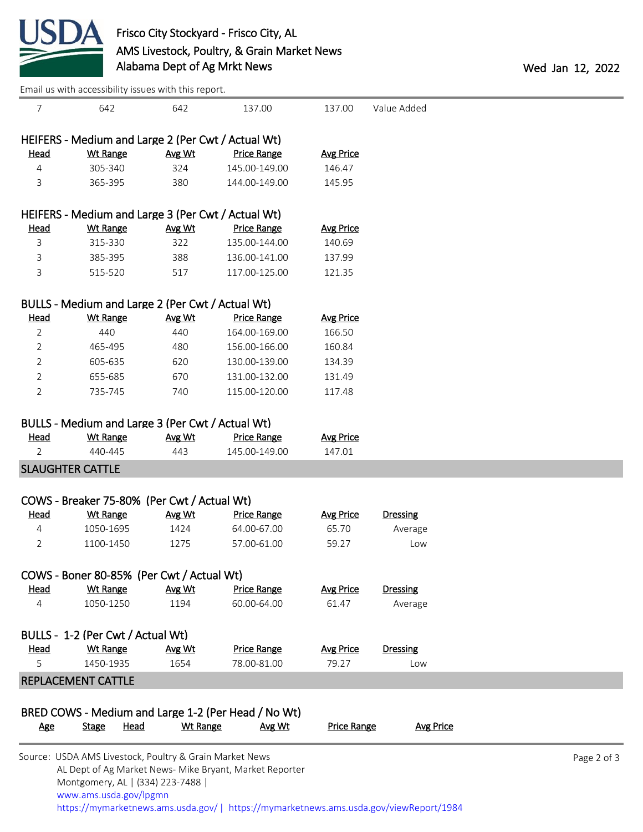

[Email us with accessibility issues with this report.](mailto:mars@ams.usda.gov?subject=508%20issue)

| 7              | 642                                                     | 642             | 137.00                                                  | 137.00             | Value Added      |             |
|----------------|---------------------------------------------------------|-----------------|---------------------------------------------------------|--------------------|------------------|-------------|
|                | HEIFERS - Medium and Large 2 (Per Cwt / Actual Wt)      |                 |                                                         |                    |                  |             |
| <b>Head</b>    | <b>Wt Range</b>                                         | Avg Wt          | <b>Price Range</b>                                      | <b>Avg Price</b>   |                  |             |
| $\overline{4}$ | 305-340                                                 | 324             | 145.00-149.00                                           | 146.47             |                  |             |
| 3              | 365-395                                                 | 380             | 144.00-149.00                                           | 145.95             |                  |             |
|                | HEIFERS - Medium and Large 3 (Per Cwt / Actual Wt)      |                 |                                                         |                    |                  |             |
|                |                                                         |                 |                                                         |                    |                  |             |
| <b>Head</b>    | <b>Wt Range</b><br>315-330                              | Avg Wt          | <b>Price Range</b>                                      | <b>Avg Price</b>   |                  |             |
| 3              |                                                         | 322             | 135.00-144.00                                           | 140.69             |                  |             |
| 3              | 385-395                                                 | 388             | 136.00-141.00                                           | 137.99             |                  |             |
| 3              | 515-520                                                 | 517             | 117.00-125.00                                           | 121.35             |                  |             |
|                | BULLS - Medium and Large 2 (Per Cwt / Actual Wt)        |                 |                                                         |                    |                  |             |
| <b>Head</b>    | <b>Wt Range</b>                                         | Avg Wt          | <b>Price Range</b>                                      | <b>Avg Price</b>   |                  |             |
| $\overline{2}$ | 440                                                     | 440             | 164.00-169.00                                           | 166.50             |                  |             |
| $\overline{2}$ | 465-495                                                 | 480             | 156.00-166.00                                           | 160.84             |                  |             |
| $\overline{2}$ | 605-635                                                 | 620             | 130.00-139.00                                           | 134.39             |                  |             |
| $\overline{2}$ | 655-685                                                 | 670             | 131.00-132.00                                           | 131.49             |                  |             |
| $\overline{2}$ | 735-745                                                 | 740             | 115.00-120.00                                           | 117.48             |                  |             |
|                |                                                         |                 |                                                         |                    |                  |             |
|                | BULLS - Medium and Large 3 (Per Cwt / Actual Wt)        |                 |                                                         |                    |                  |             |
| <b>Head</b>    | <b>Wt Range</b>                                         | Avg Wt          | <b>Price Range</b>                                      | <b>Avg Price</b>   |                  |             |
| $\overline{2}$ | 440-445                                                 | 443             | 145.00-149.00                                           | 147.01             |                  |             |
|                | <b>SLAUGHTER CATTLE</b>                                 |                 |                                                         |                    |                  |             |
|                | COWS - Breaker 75-80% (Per Cwt / Actual Wt)             |                 |                                                         |                    |                  |             |
| <b>Head</b>    | <b>Wt Range</b>                                         | Avg Wt          | <b>Price Range</b>                                      | <b>Avg Price</b>   | <b>Dressing</b>  |             |
| 4              | 1050-1695                                               | 1424            | 64.00-67.00                                             | 65.70              | Average          |             |
| 2              | 1100-1450                                               | 1275            | 57.00-61.00                                             | 59.27              | Low              |             |
|                |                                                         |                 |                                                         |                    |                  |             |
|                | COWS - Boner 80-85% (Per Cwt / Actual Wt)               |                 |                                                         |                    |                  |             |
| Head           | <b>Wt Range</b>                                         | Avg Wt          | <b>Price Range</b>                                      | <b>Avg Price</b>   | <b>Dressing</b>  |             |
| 4              | 1050-1250                                               | 1194            | 60.00-64.00                                             | 61.47              | Average          |             |
|                | BULLS - 1-2 (Per Cwt / Actual Wt)                       |                 |                                                         |                    |                  |             |
| <b>Head</b>    | <b>Wt Range</b>                                         | Avg Wt          | <b>Price Range</b>                                      | <b>Avg Price</b>   | <b>Dressing</b>  |             |
| 5              | 1450-1935                                               | 1654            | 78.00-81.00                                             | 79.27              | Low              |             |
|                | <b>REPLACEMENT CATTLE</b>                               |                 |                                                         |                    |                  |             |
|                |                                                         |                 |                                                         |                    |                  |             |
|                | BRED COWS - Medium and Large 1-2 (Per Head / No Wt)     |                 |                                                         |                    |                  |             |
| <u>Age</u>     | Head<br><b>Stage</b>                                    | <b>Wt Range</b> | Avg Wt                                                  | <b>Price Range</b> | <b>Avg Price</b> |             |
|                | Source: USDA AMS Livestock, Poultry & Grain Market News |                 |                                                         |                    |                  | Page 2 of 3 |
|                | Montgomery, AL   (334) 223-7488                         |                 | AL Dept of Ag Market News- Mike Bryant, Market Reporter |                    |                  |             |
|                | www.ams.usda.gov/lpgmn                                  |                 |                                                         |                    |                  |             |

<https://mymarketnews.ams.usda.gov/> [|](https://www.ams.usda.gov/market-news) <https://mymarketnews.ams.usda.gov/viewReport/1984>